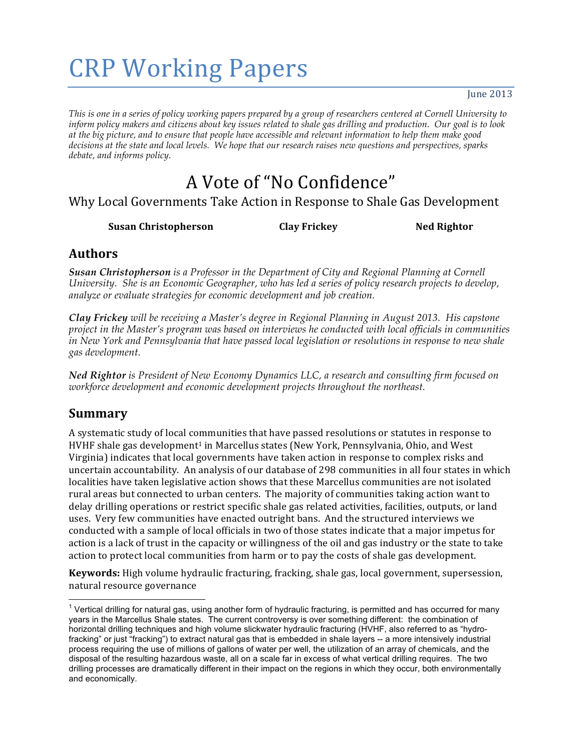# **CRP Working Papers**

June  $2013$ 

*This is one in a series of policy working papers prepared by a group of researchers centered at Cornell University to inform policy makers and citizens about key issues related to shale gas drilling and production. Our goal is to look at the big picture, and to ensure that people have accessible and relevant information to help them make good decisions at the state and local levels. We hope that our research raises new questions and perspectives, sparks debate, and informs policy.*

## A Vote of "No Confidence"

Why Local Governments Take Action in Response to Shale Gas Development

**Susan&Christopherson Clay&Frickey Ned&Rightor**

#### **Authors**

*Susan Christopherson is a Professor in the Department of City and Regional Planning at Cornell University. She is an Economic Geographer, who has led a series of policy research projects to develop, analyze or evaluate strategies for economic development and job creation.*

*Clay Frickey will be receiving a Master's degree in Regional Planning in August 2013. His capstone project in the Master's program was based on interviews he conducted with local officials in communities in New York and Pennsylvania that have passed local legislation or resolutions in response to new shale gas development.*

*Ned Rightor is President of New Economy Dynamics LLC, a research and consulting firm focused on workforce development and economic development projects throughout the northeast.*

#### **Summary**

A systematic study of local communities that have passed resolutions or statutes in response to HVHF shale gas development<sup>1</sup> in Marcellus states (New York, Pennsylvania, Ohio, and West Virginia) indicates that local governments have taken action in response to complex risks and uncertain accountability. An analysis of our database of 298 communities in all four states in which localities have taken legislative action shows that these Marcellus communities are not isolated rural areas but connected to urban centers. The majority of communities taking action want to delay drilling operations or restrict specific shale gas related activities, facilities, outputs, or land uses. Very few communities have enacted outright bans. And the structured interviews we conducted with a sample of local officials in two of those states indicate that a major impetus for action is a lack of trust in the capacity or willingness of the oil and gas industry or the state to take action to protect local communities from harm or to pay the costs of shale gas development.

**Keywords:** High volume hydraulic fracturing, fracking, shale gas, local government, supersession, natural resource governance

 $1$  Vertical drilling for natural gas, using another form of hydraulic fracturing, is permitted and has occurred for many years in the Marcellus Shale states. The current controversy is over something different: the combination of horizontal drilling techniques and high volume slickwater hydraulic fracturing (HVHF, also referred to as "hydrofracking" or just "fracking") to extract natural gas that is embedded in shale layers -- a more intensively industrial process requiring the use of millions of gallons of water per well, the utilization of an array of chemicals, and the disposal of the resulting hazardous waste, all on a scale far in excess of what vertical drilling requires. The two drilling processes are dramatically different in their impact on the regions in which they occur, both environmentally and economically.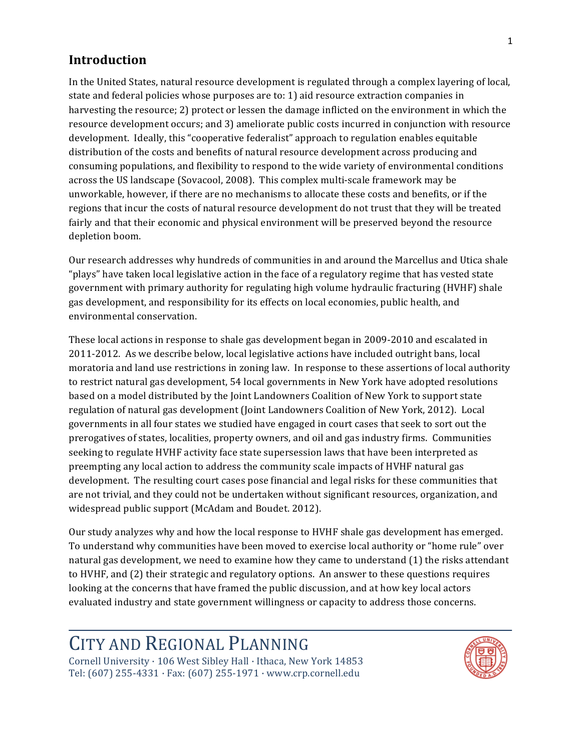#### **Introduction**

In the United States, natural resource development is regulated through a complex layering of local, state and federal policies whose purposes are to: 1) aid resource extraction companies in harvesting the resource; 2) protect or lessen the damage inflicted on the environment in which the resource development occurs; and 3) ameliorate public costs incurred in conjunction with resource development. Ideally, this "cooperative federalist" approach to regulation enables equitable distribution of the costs and benefits of natural resource development across producing and consuming populations, and flexibility to respond to the wide variety of environmental conditions across the US landscape (Sovacool, 2008). This complex multi-scale framework may be unworkable, however, if there are no mechanisms to allocate these costs and benefits, or if the regions that incur the costs of natural resource development do not trust that they will be treated fairly and that their economic and physical environment will be preserved beyond the resource depletion boom.

Our research addresses why hundreds of communities in and around the Marcellus and Utica shale "plays" have taken local legislative action in the face of a regulatory regime that has vested state government with primary authority for regulating high volume hydraulic fracturing (HVHF) shale gas development, and responsibility for its effects on local economies, public health, and environmental conservation

These local actions in response to shale gas development began in 2009-2010 and escalated in 2011-2012. As we describe below, local legislative actions have included outright bans, local moratoria and land use restrictions in zoning law. In response to these assertions of local authority to restrict natural gas development, 54 local governments in New York have adopted resolutions based on a model distributed by the Joint Landowners Coalition of New York to support state regulation of natural gas development (Joint Landowners Coalition of New York, 2012). Local governments in all four states we studied have engaged in court cases that seek to sort out the prerogatives of states, localities, property owners, and oil and gas industry firms. Communities seeking to regulate HVHF activity face state supersession laws that have been interpreted as preempting any local action to address the community scale impacts of HVHF natural gas development. The resulting court cases pose financial and legal risks for these communities that are not trivial, and they could not be undertaken without significant resources, organization, and widespread public support (McAdam and Boudet. 2012).

Our study analyzes why and how the local response to HVHF shale gas development has emerged. To understand why communities have been moved to exercise local authority or "home rule" over natural gas development, we need to examine how they came to understand (1) the risks attendant to HVHF, and (2) their strategic and regulatory options. An answer to these questions requires looking at the concerns that have framed the public discussion, and at how key local actors evaluated industry and state government willingness or capacity to address those concerns.

# CITY AND REGIONAL PLANNING

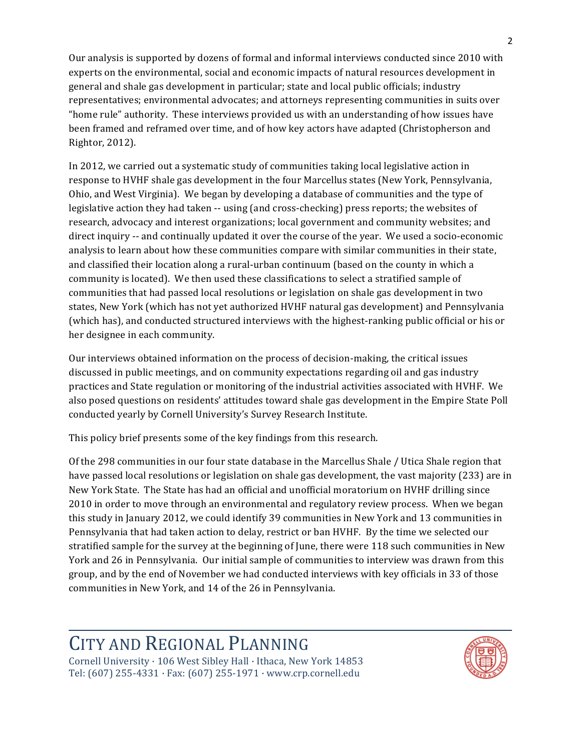Our analysis is supported by dozens of formal and informal interviews conducted since 2010 with experts on the environmental, social and economic impacts of natural resources development in general and shale gas development in particular; state and local public officials; industry representatives; environmental advocates; and attorneys representing communities in suits over "home rule" authority. These interviews provided us with an understanding of how issues have been framed and reframed over time, and of how key actors have adapted (Christopherson and Rightor,\$2012).

In 2012, we carried out a systematic study of communities taking local legislative action in response to HVHF shale gas development in the four Marcellus states (New York, Pennsylvania, Ohio, and West Virginia). We began by developing a database of communities and the type of legislative action they had taken -- using (and cross-checking) press reports; the websites of research, advocacy and interest organizations; local government and community websites; and direct inquiry -- and continually updated it over the course of the year. We used a socio-economic analysis to learn about how these communities compare with similar communities in their state, and classified their location along a rural-urban continuum (based on the county in which a community is located). We then used these classifications to select a stratified sample of communities that had passed local resolutions or legislation on shale gas development in two states, New York (which has not yet authorized HVHF natural gas development) and Pennsylvania (which has), and conducted structured interviews with the highest-ranking public official or his or her designee in each community.

Our interviews obtained information on the process of decision-making, the critical issues discussed in public meetings, and on community expectations regarding oil and gas industry practices and State regulation or monitoring of the industrial activities associated with HVHF. We also posed questions on residents' attitudes toward shale gas development in the Empire State Poll conducted yearly by Cornell University's Survey Research Institute.

This policy brief presents some of the key findings from this research.

Of the 298 communities in our four state database in the Marcellus Shale / Utica Shale region that have passed local resolutions or legislation on shale gas development, the vast majority (233) are in New York State. The State has had an official and unofficial moratorium on HVHF drilling since 2010 in order to move through an environmental and regulatory review process. When we began this study in January 2012, we could identify 39 communities in New York and 13 communities in Pennsylvania that had taken action to delay, restrict or ban HVHF. By the time we selected our stratified sample for the survey at the beginning of June, there were 118 such communities in New York and 26 in Pennsylvania. Our initial sample of communities to interview was drawn from this group, and by the end of November we had conducted interviews with key officials in 33 of those communities in New York, and 14 of the 26 in Pennsylvania.

### CITY AND REGIONAL PLANNING

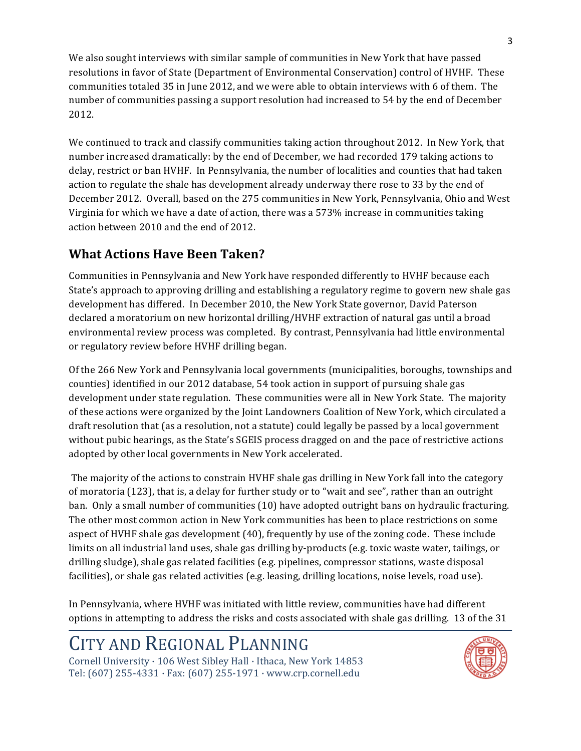We also sought interviews with similar sample of communities in New York that have passed resolutions in favor of State (Department of Environmental Conservation) control of HVHF. These communities totaled 35 in June 2012, and we were able to obtain interviews with 6 of them. The number of communities passing a support resolution had increased to 54 by the end of December 2012.

We continued to track and classify communities taking action throughout 2012. In New York, that number increased dramatically: by the end of December, we had recorded 179 taking actions to delay, restrict or ban HVHF. In Pennsylvania, the number of localities and counties that had taken action to regulate the shale has development already underway there rose to 33 by the end of December 2012. Overall, based on the 275 communities in New York, Pennsylvania, Ohio and West Virginia for which we have a date of action, there was a 573% increase in communities taking action between 2010 and the end of 2012.

### **What Actions Have Been Taken?**

Communities in Pennsylvania and New York have responded differently to HVHF because each State's approach to approving drilling and establishing a regulatory regime to govern new shale gas development has differed. In December 2010, the New York State governor, David Paterson declared a moratorium on new horizontal drilling/HVHF extraction of natural gas until a broad environmental review process was completed. By contrast, Pennsylvania had little environmental or regulatory review before HVHF drilling began.

Of the 266 New York and Pennsylvania local governments (municipalities, boroughs, townships and counties) identified in our 2012 database, 54 took action in support of pursuing shale gas development under state regulation. These communities were all in New York State. The majority of these actions were organized by the Joint Landowners Coalition of New York, which circulated a draft resolution that (as a resolution, not a statute) could legally be passed by a local government without pubic hearings, as the State's SGEIS process dragged on and the pace of restrictive actions adopted by other local governments in New York accelerated.

The majority of the actions to constrain HVHF shale gas drilling in New York fall into the category of moratoria (123), that is, a delay for further study or to "wait and see", rather than an outright ban. Only a small number of communities (10) have adopted outright bans on hydraulic fracturing. The other most common action in New York communities has been to place restrictions on some aspect of HVHF shale gas development (40), frequently by use of the zoning code. These include limits on all industrial land uses, shale gas drilling by-products (e.g. toxic waste water, tailings, or drilling sludge), shale gas related facilities (e.g. pipelines, compressor stations, waste disposal facilities), or shale gas related activities (e.g. leasing, drilling locations, noise levels, road use).

In Pennsylvania, where HVHF was initiated with little review, communities have had different options in attempting to address the risks and costs associated with shale gas drilling. 13 of the 31

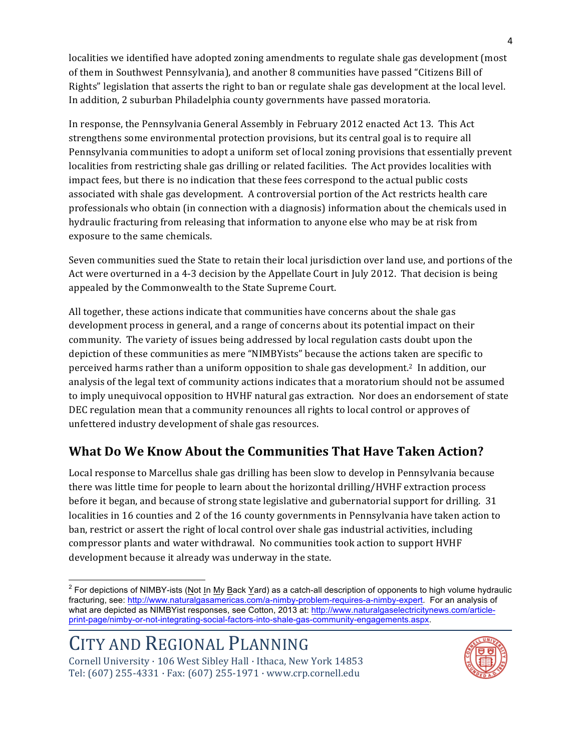localities we identified have adopted zoning amendments to regulate shale gas development (most of them in Southwest Pennsylvania), and another 8 communities have passed "Citizens Bill of Rights" legislation that asserts the right to ban or regulate shale gas development at the local level. In addition, 2 suburban Philadelphia county governments have passed moratoria.

In response, the Pennsylvania General Assembly in February 2012 enacted Act 13. This Act strengthens some environmental protection provisions, but its central goal is to require all Pennsylvania communities to adopt a uniform set of local zoning provisions that essentially prevent localities from restricting shale gas drilling or related facilities. The Act provides localities with impact fees, but there is no indication that these fees correspond to the actual public costs associated with shale gas development. A controversial portion of the Act restricts health care professionals who obtain (in connection with a diagnosis) information about the chemicals used in hydraulic fracturing from releasing that information to anyone else who may be at risk from exposure to the same chemicals.

Seven communities sued the State to retain their local jurisdiction over land use, and portions of the Act were overturned in a 4-3 decision by the Appellate Court in July 2012. That decision is being appealed by the Commonwealth to the State Supreme Court.

All together, these actions indicate that communities have concerns about the shale gas development process in general, and a range of concerns about its potential impact on their community. The variety of issues being addressed by local regulation casts doubt upon the depiction of these communities as mere "NIMBYists" because the actions taken are specific to perceived harms rather than a uniform opposition to shale gas development.<sup>2</sup> In addition, our analysis of the legal text of community actions indicates that a moratorium should not be assumed to imply unequivocal opposition to HVHF natural gas extraction. Nor does an endorsement of state DEC regulation mean that a community renounces all rights to local control or approves of unfettered industry development of shale gas resources.

### **What Do We Know About the Communities That Have Taken Action?**

Local response to Marcellus shale gas drilling has been slow to develop in Pennsylvania because there was little time for people to learn about the horizontal drilling/HVHF extraction process before it began, and because of strong state legislative and gubernatorial support for drilling. 31 localities in 16 counties and 2 of the 16 county governments in Pennsylvania have taken action to ban, restrict or assert the right of local control over shale gas industrial activities, including compressor plants and water withdrawal. No communities took action to support HVHF development because it already was underway in the state.



 $2$  For depictions of NIMBY-ists (Not In My Back Yard) as a catch-all description of opponents to high volume hydraulic fracturing, see: http://www.naturalgasamericas.com/a-nimby-problem-requires-a-nimby-expert. For an analysis of what are depicted as NIMBYist responses, see Cotton, 2013 at: http://www.naturalgaselectricitynews.com/articleprint-page/nimby-or-not-integrating-social-factors-into-shale-gas-community-engagements.aspx.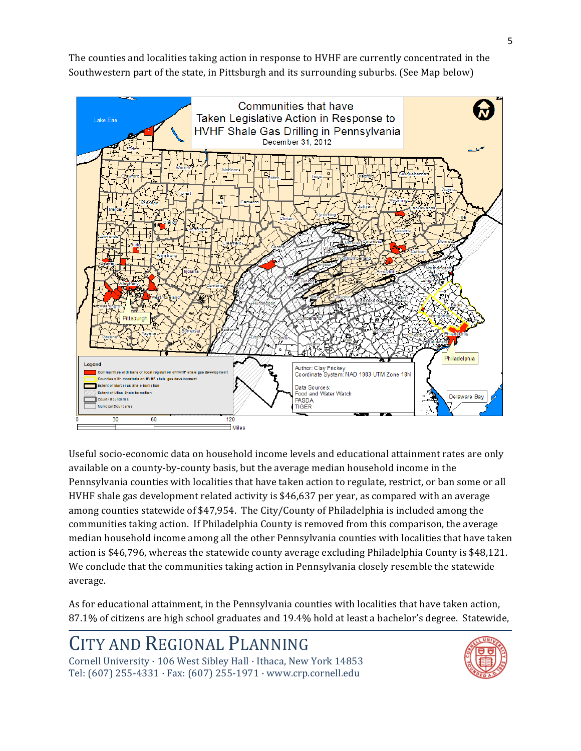The counties and localities taking action in response to HVHF are currently concentrated in the Southwestern part of the state, in Pittsburgh and its surrounding suburbs. (See Map below)



Useful socio-economic data on household income levels and educational attainment rates are only available on a county-by-county basis, but the average median household income in the Pennsylvania counties with localities that have taken action to regulate, restrict, or ban some or all HVHF shale gas development related activity is \$46,637 per year, as compared with an average among counties statewide of \$47,954. The City/County of Philadelphia is included among the communities taking action. If Philadelphia County is removed from this comparison, the average median household income among all the other Pennsylvania counties with localities that have taken action is \$46,796, whereas the statewide county average excluding Philadelphia County is \$48,121. We conclude that the communities taking action in Pennsylvania closely resemble the statewide average.

As for educational attainment, in the Pennsylvania counties with localities that have taken action, 87.1% of citizens are high school graduates and 19.4% hold at least a bachelor's degree. Statewide,

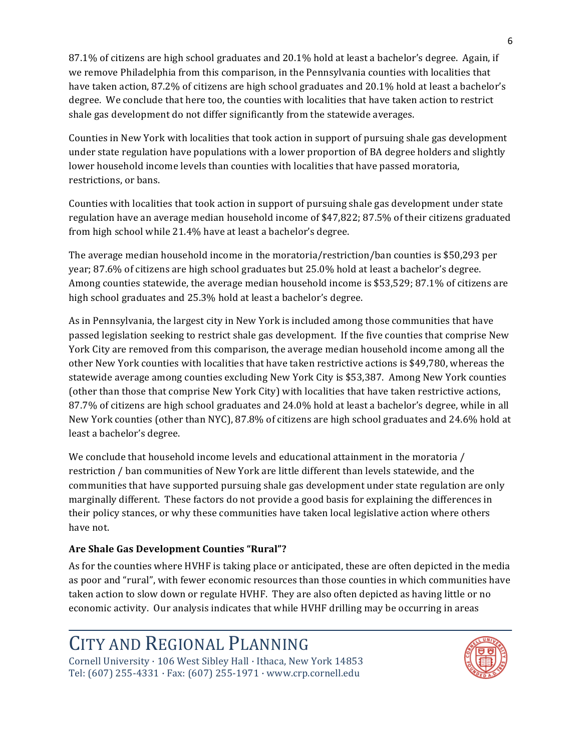87.1% of citizens are high school graduates and 20.1% hold at least a bachelor's degree. Again, if we remove Philadelphia from this comparison, in the Pennsylvania counties with localities that have taken action, 87.2% of citizens are high school graduates and 20.1% hold at least a bachelor's degree. We conclude that here too, the counties with localities that have taken action to restrict shale gas development do not differ significantly from the statewide averages.

Counties in New York with localities that took action in support of pursuing shale gas development under state regulation have populations with a lower proportion of BA degree holders and slightly lower household income levels than counties with localities that have passed moratoria, restrictions, or bans.

Counties with localities that took action in support of pursuing shale gas development under state regulation have an average median household income of \$47,822; 87.5% of their citizens graduated from high school while 21.4% have at least a bachelor's degree.

The average median household income in the moratoria/restriction/ban counties is \$50,293 per year; 87.6% of citizens are high school graduates but 25.0% hold at least a bachelor's degree. Among counties statewide, the average median household income is \$53,529; 87.1% of citizens are high school graduates and 25.3% hold at least a bachelor's degree.

As in Pennsylvania, the largest city in New York is included among those communities that have passed legislation seeking to restrict shale gas development. If the five counties that comprise New York City are removed from this comparison, the average median household income among all the other New York counties with localities that have taken restrictive actions is \$49,780, whereas the statewide average among counties excluding New York City is \$53,387. Among New York counties (other than those that comprise New York City) with localities that have taken restrictive actions, 87.7% of citizens are high school graduates and 24.0% hold at least a bachelor's degree, while in all New York counties (other than NYC), 87.8% of citizens are high school graduates and 24.6% hold at least a bachelor's degree.

We conclude that household income levels and educational attainment in the moratoria / restriction / ban communities of New York are little different than levels statewide, and the communities that have supported pursuing shale gas development under state regulation are only marginally different. These factors do not provide a good basis for explaining the differences in their policy stances, or why these communities have taken local legislative action where others have not.

#### Are Shale Gas Development Counties "Rural"?

As for the counties where HVHF is taking place or anticipated, these are often depicted in the media as poor and "rural", with fewer economic resources than those counties in which communities have taken action to slow down or regulate HVHF. They are also often depicted as having little or no economic activity. Our analysis indicates that while HVHF drilling may be occurring in areas

# CITY AND REGIONAL PLANNING

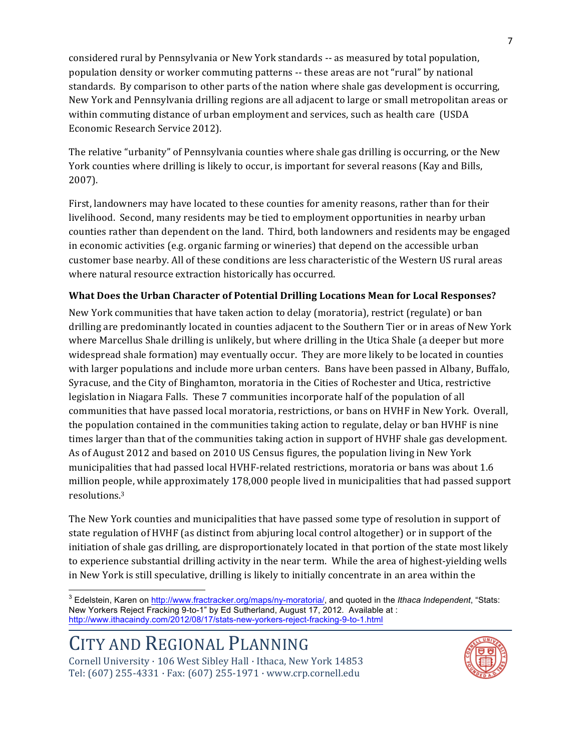considered rural by Pennsylvania or New York standards -- as measured by total population, population density or worker commuting patterns -- these areas are not "rural" by national standards. By comparison to other parts of the nation where shale gas development is occurring, New York and Pennsylvania drilling regions are all adjacent to large or small metropolitan areas or within commuting distance of urban employment and services, such as health care (USDA Economic Research Service 2012).

The relative "urbanity" of Pennsylvania counties where shale gas drilling is occurring, or the New York counties where drilling is likely to occur, is important for several reasons (Kay and Bills,  $2007$ ).

First, landowners may have located to these counties for amenity reasons, rather than for their livelihood. Second, many residents may be tied to employment opportunities in nearby urban counties rather than dependent on the land. Third, both landowners and residents may be engaged in economic activities (e.g. organic farming or wineries) that depend on the accessible urban customer base nearby. All of these conditions are less characteristic of the Western US rural areas where natural resource extraction historically has occurred.

#### What Does the Urban Character of Potential Drilling Locations Mean for Local Responses?

New York communities that have taken action to delay (moratoria), restrict (regulate) or ban drilling are predominantly located in counties adjacent to the Southern Tier or in areas of New York where Marcellus Shale drilling is unlikely, but where drilling in the Utica Shale (a deeper but more widespread shale formation) may eventually occur. They are more likely to be located in counties with larger populations and include more urban centers. Bans have been passed in Albany, Buffalo, Syracuse, and the City of Binghamton, moratoria in the Cities of Rochester and Utica, restrictive legislation in Niagara Falls. These 7 communities incorporate half of the population of all communities that have passed local moratoria, restrictions, or bans on HVHF in New York. Overall, the population contained in the communities taking action to regulate, delay or ban HVHF is nine times larger than that of the communities taking action in support of HVHF shale gas development. As of August 2012 and based on 2010 US Census figures, the population living in New York municipalities that had passed local HVHF-related restrictions, moratoria or bans was about 1.6 million people, while approximately 178,000 people lived in municipalities that had passed support resolutions.3

The New York counties and municipalities that have passed some type of resolution in support of state regulation of HVHF (as distinct from abjuring local control altogether) or in support of the initiation of shale gas drilling, are disproportionately located in that portion of the state most likely to experience substantial drilling activity in the near term. While the area of highest-yielding wells in New York is still speculative, drilling is likely to initially concentrate in an area within the



<sup>&</sup>lt;sup>3</sup> Edelstein, Karen on http://www.fractracker.org/maps/ny-moratoria/, and quoted in the *Ithaca Independent*, "Stats: New Yorkers Reject Fracking 9-to-1" by Ed Sutherland, August 17, 2012. Available at : http://www.ithacaindy.com/2012/08/17/stats-new-yorkers-reject-fracking-9-to-1.html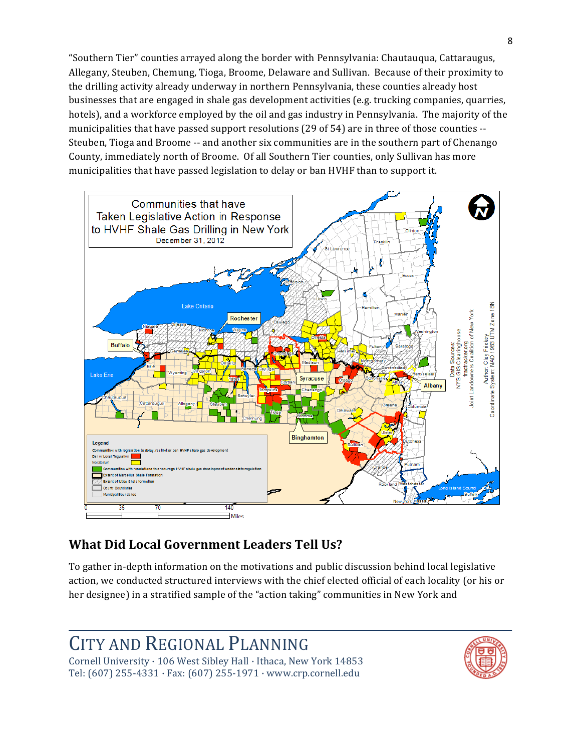"Southern Tier" counties arrayed along the border with Pennsylvania: Chautauqua, Cattaraugus, Allegany, Steuben, Chemung, Tioga, Broome, Delaware and Sullivan. Because of their proximity to the drilling activity already underway in northern Pennsylvania, these counties already host businesses that are engaged in shale gas development activities (e.g. trucking companies, quarries, hotels), and a workforce employed by the oil and gas industry in Pennsylvania. The majority of the municipalities that have passed support resolutions (29 of 54) are in three of those counties --Steuben, Tioga and Broome -- and another six communities are in the southern part of Chenango County, immediately north of Broome. Of all Southern Tier counties, only Sullivan has more municipalities that have passed legislation to delay or ban HVHF than to support it.



### **What Did Local Government Leaders Tell Us?**

To gather in-depth information on the motivations and public discussion behind local legislative action, we conducted structured interviews with the chief elected official of each locality (or his or her designee) in a stratified sample of the "action taking" communities in New York and

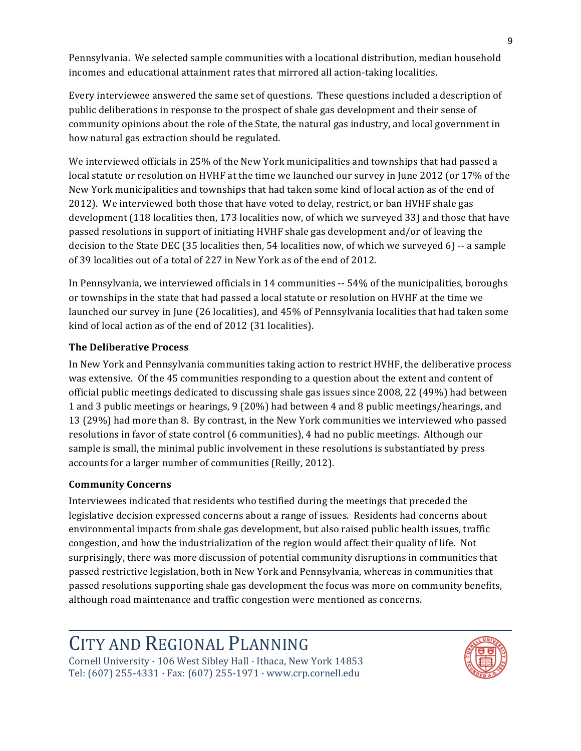Pennsylvania. We selected sample communities with a locational distribution, median household incomes and educational attainment rates that mirrored all action-taking localities.

Every interviewee answered the same set of questions. These questions included a description of public deliberations in response to the prospect of shale gas development and their sense of community opinions about the role of the State, the natural gas industry, and local government in how natural gas extraction should be regulated.

We interviewed officials in 25% of the New York municipalities and townships that had passed a local statute or resolution on HVHF at the time we launched our survey in June 2012 (or 17% of the New York municipalities and townships that had taken some kind of local action as of the end of 2012). We interviewed both those that have voted to delay, restrict, or ban HVHF shale gas development (118 localities then, 173 localities now, of which we surveyed 33) and those that have passed resolutions in support of initiating HVHF shale gas development and/or of leaving the decision to the State DEC (35 localities then, 54 localities now, of which we surveyed 6)  $-$  a sample of 39 localities out of a total of 227 in New York as of the end of 2012.

In Pennsylvania, we interviewed officials in 14 communities  $-54%$  of the municipalities, boroughs or townships in the state that had passed a local statute or resolution on HVHF at the time we launched our survey in June (26 localities), and 45% of Pennsylvania localities that had taken some kind of local action as of the end of 2012 (31 localities).

#### **The Deliberative Process**

In New York and Pennsylvania communities taking action to restrict HVHF, the deliberative process was extensive. Of the 45 communities responding to a question about the extent and content of official public meetings dedicated to discussing shale gas issues since 2008, 22 (49%) had between 1 and 3 public meetings or hearings, 9 (20%) had between 4 and 8 public meetings/hearings, and 13 (29%) had more than 8. By contrast, in the New York communities we interviewed who passed resolutions in favor of state control (6 communities), 4 had no public meetings. Although our sample is small, the minimal public involvement in these resolutions is substantiated by press accounts for a larger number of communities (Reilly, 2012).

#### **Community&Concerns**

Interviewees indicated that residents who testified during the meetings that preceded the legislative decision expressed concerns about a range of issues. Residents had concerns about environmental impacts from shale gas development, but also raised public health issues, traffic congestion, and how the industrialization of the region would affect their quality of life. Not surprisingly, there was more discussion of potential community disruptions in communities that passed restrictive legislation, both in New York and Pennsylvania, whereas in communities that passed resolutions supporting shale gas development the focus was more on community benefits, although road maintenance and traffic congestion were mentioned as concerns.

# CITY AND REGIONAL PLANNING

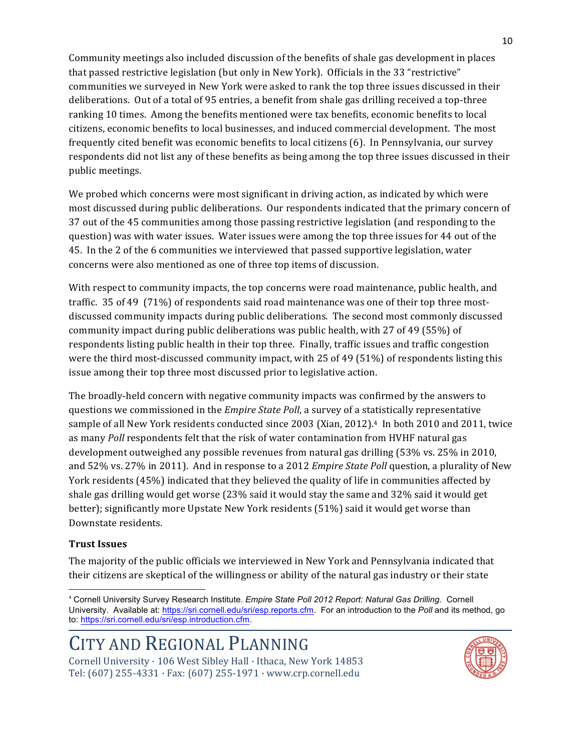Community meetings also included discussion of the benefits of shale gas development in places that passed restrictive legislation (but only in New York). Officials in the 33 "restrictive" communities we surveyed in New York were asked to rank the top three issues discussed in their deliberations. Out of a total of 95 entries, a benefit from shale gas drilling received a top-three ranking 10 times. Among the benefits mentioned were tax benefits, economic benefits to local citizens, economic benefits to local businesses, and induced commercial development. The most frequently cited benefit was economic benefits to local citizens (6). In Pennsylvania, our survey respondents did not list any of these benefits as being among the top three issues discussed in their public meetings.

We probed which concerns were most significant in driving action, as indicated by which were most discussed during public deliberations. Our respondents indicated that the primary concern of 37 out of the 45 communities among those passing restrictive legislation (and responding to the question) was with water issues. Water issues were among the top three issues for 44 out of the 45. In the 2 of the 6 communities we interviewed that passed supportive legislation, water concerns were also mentioned as one of three top items of discussion.

With respect to community impacts, the top concerns were road maintenance, public health, and traffic.  $35$  of 49 (71%) of respondents said road maintenance was one of their top three mostdiscussed community impacts during public deliberations. The second most commonly discussed community impact during public deliberations was public health, with 27 of 49 (55%) of respondents listing public health in their top three. Finally, traffic issues and traffic congestion were the third most-discussed community impact, with  $25$  of 49 (51%) of respondents listing this issue among their top three most discussed prior to legislative action.

The broadly-held concern with negative community impacts was confirmed by the answers to questions we commissioned in the *Empire State Poll*, a survey of a statistically representative sample of all New York residents conducted since 2003 (Xian, 2012).<sup>4</sup> In both 2010 and 2011, twice as many *Poll* respondents felt that the risk of water contamination from HVHF natural gas development outweighed any possible revenues from natural gas drilling  $(53\% \text{ vs. } 25\% \text{ in } 2010,$ and 52% vs. 27% in 2011). And in response to a 2012 *Empire State Poll* question, a plurality of New York residents (45%) indicated that they believed the quality of life in communities affected by shale gas drilling would get worse (23% said it would stay the same and 32% said it would get better); significantly more Upstate New York residents (51%) said it would get worse than Downstate residents.

#### **Trust Issues**

!!!!!!!!!!!!!!!!!!!!!!!!!!!!!!!!!!!!!!!!!!!!!!!!!!!!!!!!!!!!

The majority of the public officials we interviewed in New York and Pennsylvania indicated that their citizens are skeptical of the willingness or ability of the natural gas industry or their state



<sup>4</sup> Cornell University Survey Research Institute. *Empire State Poll 2012 Report: Natural Gas Drilling.* Cornell University. Available at: https://sri.cornell.edu/sri/esp.reports.cfm. For an introduction to the *Poll* and its method, go to: https://sri.cornell.edu/sri/esp.introduction.cfm.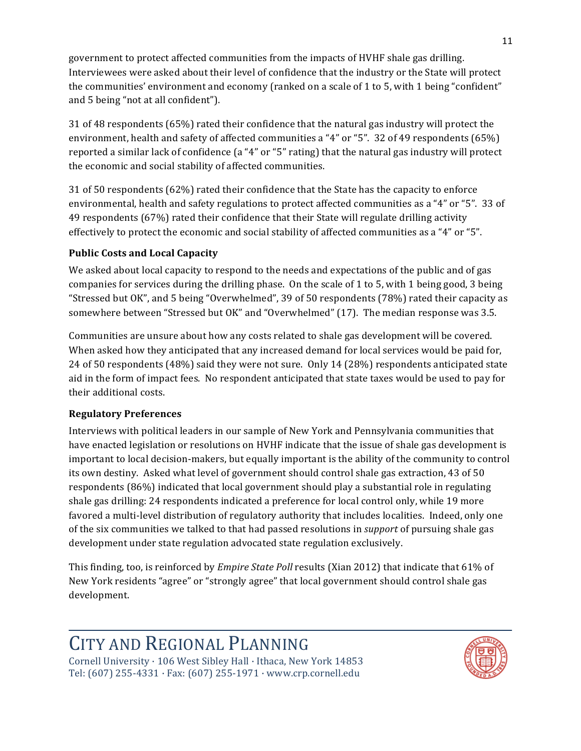government to protect affected communities from the impacts of HVHF shale gas drilling. Interviewees were asked about their level of confidence that the industry or the State will protect the communities' environment and economy (ranked on a scale of 1 to 5, with 1 being "confident" and 5 being "not at all confident").

31 of 48 respondents (65%) rated their confidence that the natural gas industry will protect the environment, health and safety of affected communities a "4" or "5". 32 of 49 respondents (65%) reported a similar lack of confidence (a "4" or "5" rating) that the natural gas industry will protect the economic and social stability of affected communities.

31 of 50 respondents (62%) rated their confidence that the State has the capacity to enforce environmental, health and safety regulations to protect affected communities as a "4" or "5". 33 of 49 respondents (67%) rated their confidence that their State will regulate drilling activity effectively to protect the economic and social stability of affected communities as a "4" or "5".

#### **Public&Costs and&Local&Capacity**

We asked about local capacity to respond to the needs and expectations of the public and of gas companies for services during the drilling phase. On the scale of 1 to 5, with 1 being good, 3 being "Stressed but OK", and 5 being "Overwhelmed", 39 of 50 respondents (78%) rated their capacity as somewhere between "Stressed but OK" and "Overwhelmed"  $(17)$ . The median response was 3.5.

Communities are unsure about how any costs related to shale gas development will be covered. When asked how they anticipated that any increased demand for local services would be paid for, 24 of 50 respondents (48%) said they were not sure. Only 14 (28%) respondents anticipated state aid in the form of impact fees. No respondent anticipated that state taxes would be used to pay for their additional costs.

#### **Regulatory&Preferences**

Interviews with political leaders in our sample of New York and Pennsylvania communities that have enacted legislation or resolutions on HVHF indicate that the issue of shale gas development is important to local decision-makers, but equally important is the ability of the community to control its own destiny. Asked what level of government should control shale gas extraction, 43 of 50 respondents (86%) indicated that local government should play a substantial role in regulating shale gas drilling: 24 respondents indicated a preference for local control only, while 19 more favored a multi-level distribution of regulatory authority that includes localities. Indeed, only one of the six communities we talked to that had passed resolutions in *support* of pursuing shale gas development under state regulation advocated state regulation exclusively.

This finding, too, is reinforced by *Empire State Poll* results (Xian 2012) that indicate that 61% of New York residents "agree" or "strongly agree" that local government should control shale gas development.

# **CITY AND REGIONAL PLANNING**

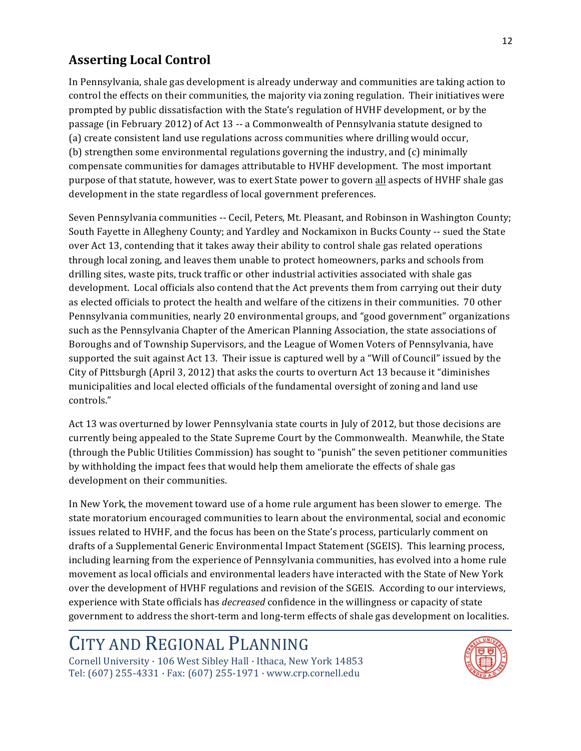### **Asserting Local Control**

In Pennsylvania, shale gas development is already underway and communities are taking action to control the effects on their communities, the majority via zoning regulation. Their initiatives were prompted by public dissatisfaction with the State's regulation of HVHF development, or by the passage (in February 2012) of Act 13 -- a Commonwealth of Pennsylvania statute designed to (a) create consistent land use regulations across communities where drilling would occur, (b) strengthen some environmental regulations governing the industry, and (c) minimally compensate communities for damages attributable to HVHF development. The most important purpose of that statute, however, was to exert State power to govern all aspects of HVHF shale gas development in the state regardless of local government preferences.

Seven Pennsylvania communities -- Cecil, Peters, Mt. Pleasant, and Robinson in Washington County; South Fayette in Allegheny County; and Yardley and Nockamixon in Bucks County -- sued the State over Act 13, contending that it takes away their ability to control shale gas related operations through local zoning, and leaves them unable to protect homeowners, parks and schools from drilling sites, waste pits, truck traffic or other industrial activities associated with shale gas development. Local officials also contend that the Act prevents them from carrying out their duty as elected officials to protect the health and welfare of the citizens in their communities. 70 other Pennsylvania communities, nearly 20 environmental groups, and "good government" organizations such as the Pennsylvania Chapter of the American Planning Association, the state associations of Boroughs and of Township Supervisors, and the League of Women Voters of Pennsylvania, have supported the suit against Act 13. Their issue is captured well by a "Will of Council" issued by the City of Pittsburgh (April 3, 2012) that asks the courts to overturn Act 13 because it "diminishes" municipalities and local elected officials of the fundamental oversight of zoning and land use controls."

Act 13 was overturned by lower Pennsylvania state courts in July of 2012, but those decisions are currently being appealed to the State Supreme Court by the Commonwealth. Meanwhile, the State (through the Public Utilities Commission) has sought to "punish" the seven petitioner communities by withholding the impact fees that would help them ameliorate the effects of shale gas development on their communities.

In New York, the movement toward use of a home rule argument has been slower to emerge. The state moratorium encouraged communities to learn about the environmental, social and economic issues related to HVHF, and the focus has been on the State's process, particularly comment on drafts of a Supplemental Generic Environmental Impact Statement (SGEIS). This learning process, including learning from the experience of Pennsylvania communities, has evolved into a home rule movement as local officials and environmental leaders have interacted with the State of New York over the development of HVHF regulations and revision of the SGEIS. According to our interviews, experience with State officials has *decreased* confidence in the willingness or capacity of state government to address the short-term and long-term effects of shale gas development on localities.

# CITY AND REGIONAL PLANNING

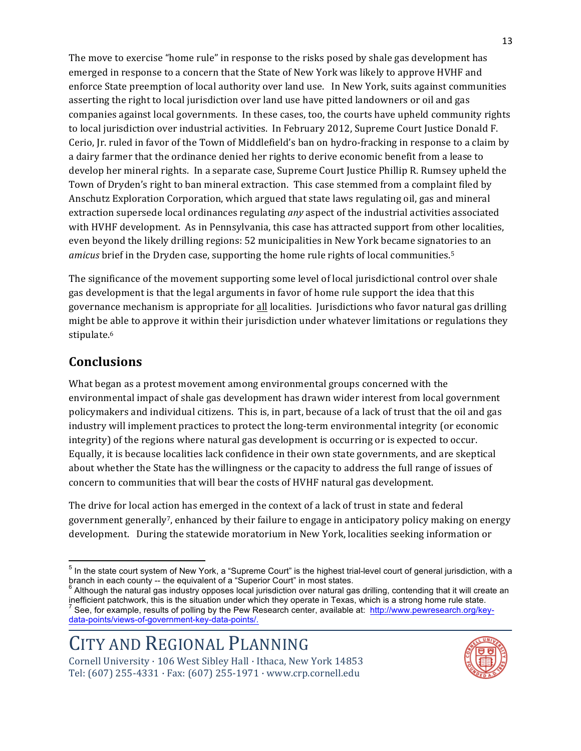The move to exercise "home rule" in response to the risks posed by shale gas development has emerged in response to a concern that the State of New York was likely to approve HVHF and enforce State preemption of local authority over land use. In New York, suits against communities asserting the right to local jurisdiction over land use have pitted landowners or oil and gas companies against local governments. In these cases, too, the courts have upheld community rights to local jurisdiction over industrial activities. In February 2012, Supreme Court Justice Donald F. Cerio, Jr. ruled in favor of the Town of Middlefield's ban on hydro-fracking in response to a claim by a dairy farmer that the ordinance denied her rights to derive economic benefit from a lease to develop her mineral rights. In a separate case, Supreme Court Justice Phillip R. Rumsey upheld the Town of Dryden's right to ban mineral extraction. This case stemmed from a complaint filed by Anschutz Exploration Corporation, which argued that state laws regulating oil, gas and mineral extraction supersede local ordinances regulating *any* aspect of the industrial activities associated with HVHF development. As in Pennsylvania, this case has attracted support from other localities, even beyond the likely drilling regions: 52 municipalities in New York became signatories to an *amicus* brief in the Dryden case, supporting the home rule rights of local communities.<sup>5</sup>

The significance of the movement supporting some level of local jurisdictional control over shale gas development is that the legal arguments in favor of home rule support the idea that this governance mechanism is appropriate for all localities. Jurisdictions who favor natural gas drilling might be able to approve it within their jurisdiction under whatever limitations or regulations they stipulate.6

### **Conclusions**

What began as a protest movement among environmental groups concerned with the environmental impact of shale gas development has drawn wider interest from local government policymakers and individual citizens. This is, in part, because of a lack of trust that the oil and gas industry will implement practices to protect the long-term environmental integrity (or economic integrity) of the regions where natural gas development is occurring or is expected to occur. Equally, it is because localities lack confidence in their own state governments, and are skeptical about whether the State has the willingness or the capacity to address the full range of issues of concern to communities that will bear the costs of HVHF natural gas development.

The drive for local action has emerged in the context of a lack of trust in state and federal government generally<sup>7</sup>, enhanced by their failure to engage in anticipatory policy making on energy development. During the statewide moratorium in New York, localities seeking information or



<sup>&</sup>lt;sup>5</sup> In the state court system of New York, a "Supreme Court" is the highest trial-level court of general jurisdiction, with a branch in each county -- the equivalent of a "Superior Court" in most states.

Although the natural gas industry opposes local jurisdiction over natural gas drilling, contending that it will create an inefficient patchwork, this is the situation under which they operate in Texas, which is a strong home rule state. <sup>7</sup> See, for example, results of polling by the Pew Research center, available at: http://www.pewresearch.org/keydata-points/views-of-government-key-data-points/.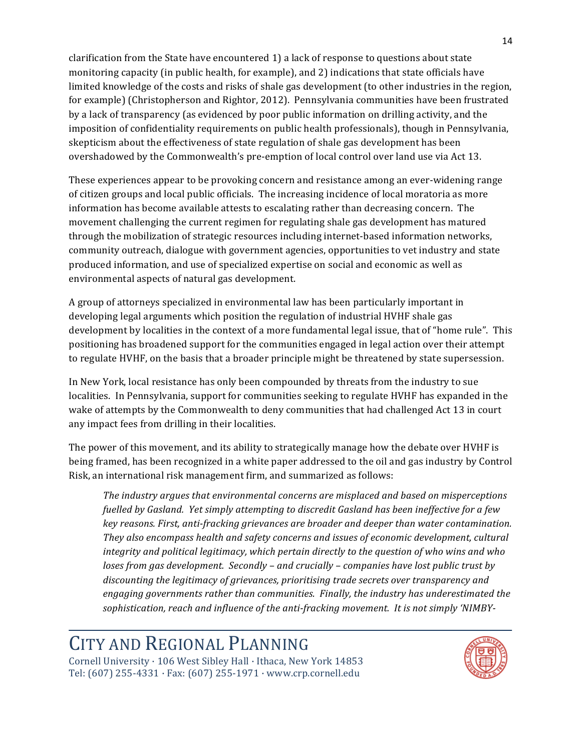clarification from the State have encountered 1) a lack of response to questions about state monitoring capacity (in public health, for example), and 2) indications that state officials have limited knowledge of the costs and risks of shale gas development (to other industries in the region, for example) (Christopherson and Rightor, 2012). Pennsylvania communities have been frustrated by a lack of transparency (as evidenced by poor public information on drilling activity, and the imposition of confidentiality requirements on public health professionals), though in Pennsylvania, skepticism about the effectiveness of state regulation of shale gas development has been overshadowed by the Commonwealth's pre-emption of local control over land use via Act 13.

These experiences appear to be provoking concern and resistance among an ever-widening range of citizen groups and local public officials. The increasing incidence of local moratoria as more information has become available attests to escalating rather than decreasing concern. The movement challenging the current regimen for regulating shale gas development has matured through the mobilization of strategic resources including internet-based information networks, community outreach, dialogue with government agencies, opportunities to vet industry and state produced information, and use of specialized expertise on social and economic as well as environmental aspects of natural gas development.

A group of attorneys specialized in environmental law has been particularly important in developing legal arguments which position the regulation of industrial HVHF shale gas development by localities in the context of a more fundamental legal issue, that of "home rule". This positioning has broadened support for the communities engaged in legal action over their attempt to regulate HVHF, on the basis that a broader principle might be threatened by state supersession.

In New York, local resistance has only been compounded by threats from the industry to sue localities. In Pennsylvania, support for communities seeking to regulate HVHF has expanded in the wake of attempts by the Commonwealth to deny communities that had challenged Act 13 in court any impact fees from drilling in their localities.

The power of this movement, and its ability to strategically manage how the debate over HVHF is being framed, has been recognized in a white paper addressed to the oil and gas industry by Control Risk, an international risk management firm, and summarized as follows:

The industry argues that environmental concerns are misplaced and based on misperceptions fuelled by Gasland. Yet simply attempting to discredit Gasland has been ineffective for a few key reasons. First, anti-fracking grievances are broader and deeper than water contamination. They also encompass health and safety concerns and issues of economic development, cultural integrity and political legitimacy, which pertain directly to the question of who wins and who loses from gas development. Secondly – and crucially – companies have lost public trust by discounting the legitimacy of grievances, prioritising trade secrets over transparency and engaging governments rather than communities. Finally, the industry has underestimated the sophistication, reach and influence of the anti-fracking movement. It is not simply 'NIMBY-

# CITY AND REGIONAL PLANNING

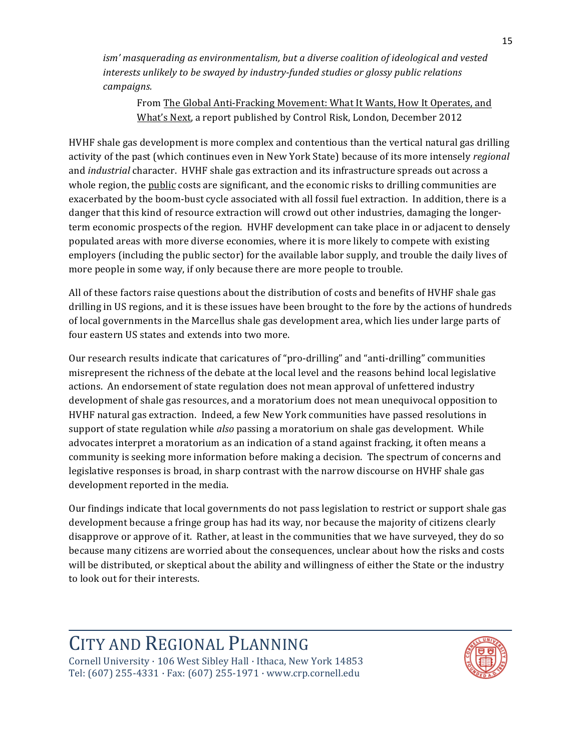*ism''masquerading'as'environmentalism,'but'a'diverse'coalition'of'ideological'and'vested'* interests unlikely to be swayed by industry-funded studies or glossy public relations *campaigns.*

From The Global Anti-Fracking Movement: What It Wants, How It Operates, and What's Next, a report published by Control Risk, London, December 2012

HVHF shale gas development is more complex and contentious than the vertical natural gas drilling activity of the past (which continues even in New York State) because of its more intensely *regional* and *industrial* character. HVHF shale gas extraction and its infrastructure spreads out across a whole region, the public costs are significant, and the economic risks to drilling communities are exacerbated by the boom-bust cycle associated with all fossil fuel extraction. In addition, there is a danger that this kind of resource extraction will crowd out other industries, damaging the longerterm economic prospects of the region. HVHF development can take place in or adjacent to densely populated areas with more diverse economies, where it is more likely to compete with existing employers (including the public sector) for the available labor supply, and trouble the daily lives of more people in some way, if only because there are more people to trouble.

All of these factors raise questions about the distribution of costs and benefits of HVHF shale gas drilling in US regions, and it is these issues have been brought to the fore by the actions of hundreds of local governments in the Marcellus shale gas development area, which lies under large parts of four eastern US states and extends into two more.

Our research results indicate that caricatures of "pro-drilling" and "anti-drilling" communities misrepresent the richness of the debate at the local level and the reasons behind local legislative actions. An endorsement of state regulation does not mean approval of unfettered industry development of shale gas resources, and a moratorium does not mean unequivocal opposition to HVHF natural gas extraction. Indeed, a few New York communities have passed resolutions in support of state regulation while *also* passing a moratorium on shale gas development. While advocates interpret a moratorium as an indication of a stand against fracking, it often means a community is seeking more information before making a decision. The spectrum of concerns and legislative responses is broad, in sharp contrast with the narrow discourse on HVHF shale gas development reported in the media.

Our findings indicate that local governments do not pass legislation to restrict or support shale gas development because a fringe group has had its way, nor because the majority of citizens clearly disapprove or approve of it. Rather, at least in the communities that we have surveyed, they do so because many citizens are worried about the consequences, unclear about how the risks and costs will be distributed, or skeptical about the ability and willingness of either the State or the industry to look out for their interests.

# CITY AND REGIONAL PLANNING

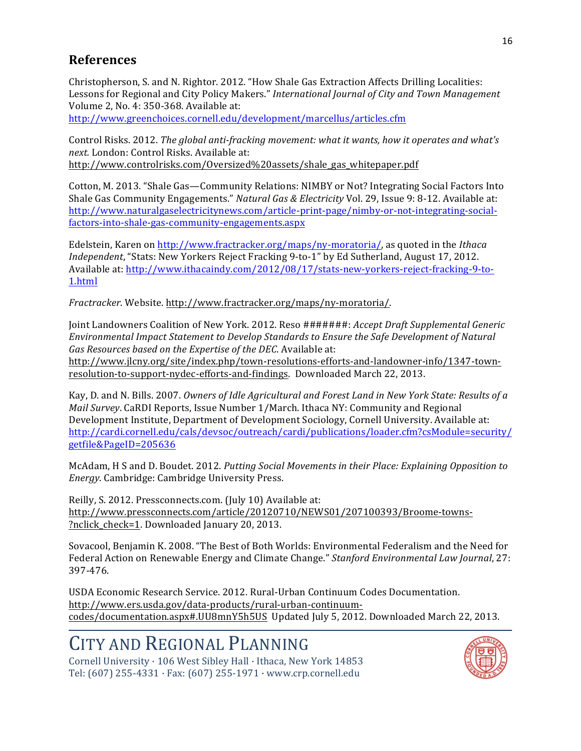#### **References**

Christopherson, S. and N. Rightor. 2012. "How Shale Gas Extraction Affects Drilling Localities: Lessons for Regional and City Policy Makers." International Journal of City and Town Management Volume 2, No. 4: 350-368. Available at:

http://www.greenchoices.cornell.edu/development/marcellus/articles.cfm

Control Risks. 2012. The global anti-fracking movement: what it wants, how it operates and what's next. London: Control Risks. Available at: http://www.controlrisks.com/0yersized%20assets/shale gas whitepaper.pdf

Cotton, M. 2013. "Shale Gas-Community Relations: NIMBY or Not? Integrating Social Factors Into Shale Gas Community Engagements." Natural Gas & Electricity Vol. 29, Issue 9: 8-12. Available at: http://www.naturalgaselectricitynews.com/article-print-page/nimby-or-not-integrating-socialfactors-into-shale-gas-community-engagements.aspx

Edelstein, Karen on http://www.fractracker.org/maps/ny-moratoria/, as quoted in the Ithaca *Independent*, "Stats: New Yorkers Reject Fracking 9-to-1" by Ed Sutherland, August 17, 2012. Available at: http://www.ithacaindy.com/2012/08/17/stats-new-yorkers-reject-fracking-9-to-1.html

Fractracker. Website. http://www.fractracker.org/maps/ny-moratoria/.

Joint Landowners Coalition of New York. 2012. Reso #######: Accept Draft Supplemental Generic Environmental Impact Statement to Develop Standards to Ensure the Safe Development of Natural Gas Resources based on the Expertise of the DEC. Available at: http://www.jlcny.org/site/index.php/town-resolutions-efforts-and-landowner-info/1347-townresolution-to-support-nydec-efforts-and-findings. Downloaded March 22, 2013.

Kay, D. and N. Bills. 2007. Owners of Idle Agricultural and Forest Land in New York State: Results of a Mail Survey. CaRDI Reports, Issue Number 1/March. Ithaca NY: Community and Regional Development Institute, Department of Development Sociology, Cornell University. Available at: http://cardi.cornell.edu/cals/devsoc/outreach/cardi/publications/loader.cfm?csModule=security/ getfile&PageID=205636

McAdam, H S and D. Boudet. 2012. Putting Social Movements in their Place: Explaining Opposition to Energy. Cambridge: Cambridge University Press.

Reilly, S. 2012. Pressconnects.com. (July 10) Available at: http://www.pressconnects.com/article/20120710/NEWS01/207100393/Broome-towns-?nclick\_check=1. Downloaded January 20, 2013.

Sovacool, Benjamin K. 2008. "The Best of Both Worlds: Environmental Federalism and the Need for Federal Action on Renewable Energy and Climate Change." Stanford Environmental Law Journal, 27: 397-476.

USDA Economic Research Service. 2012. Rural-Urban Continuum Codes Documentation. http://www.ers.usda.gov/data-products/rural-urban-continuumcodes/documentation.aspx#.UU8mnY5h5US Updated July 5, 2012. Downloaded March 22, 2013.

# CITY AND REGIONAL PLANNING